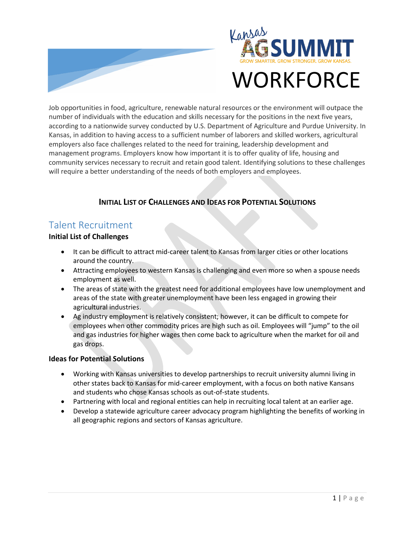



# **WORKFORCE**

Job opportunities in food, agriculture, renewable natural resources or the environment will outpace the number of individuals with the education and skills necessary for the positions in the next five years, according to a nationwide survey conducted by U.S. Department of Agriculture and Purdue University. In Kansas, in addition to having access to a sufficient number of laborers and skilled workers, agricultural employers also face challenges related to the need for training, leadership development and management programs. Employers know how important it is to offer quality of life, housing and community services necessary to recruit and retain good talent. Identifying solutions to these challenges will require a better understanding of the needs of both employers and employees.

### **INITIAL LIST OF CHALLENGES AND IDEAS FOR POTENTIAL SOLUTIONS**

## Talent Recruitment

#### **Initial List of Challenges**

- It can be difficult to attract mid-career talent to Kansas from larger cities or other locations around the country.
- Attracting employees to western Kansas is challenging and even more so when a spouse needs employment as well.
- The areas of state with the greatest need for additional employees have low unemployment and areas of the state with greater unemployment have been less engaged in growing their agricultural industries.
- Ag industry employment is relatively consistent; however, it can be difficult to compete for employees when other commodity prices are high such as oil. Employees will "jump" to the oil and gas industries for higher wages then come back to agriculture when the market for oil and gas drops.

#### **Ideas for Potential Solutions**

- Working with Kansas universities to develop partnerships to recruit university alumni living in other states back to Kansas for mid-career employment, with a focus on both native Kansans and students who chose Kansas schools as out-of-state students.
- Partnering with local and regional entities can help in recruiting local talent at an earlier age.
- Develop a statewide agriculture career advocacy program highlighting the benefits of working in all geographic regions and sectors of Kansas agriculture.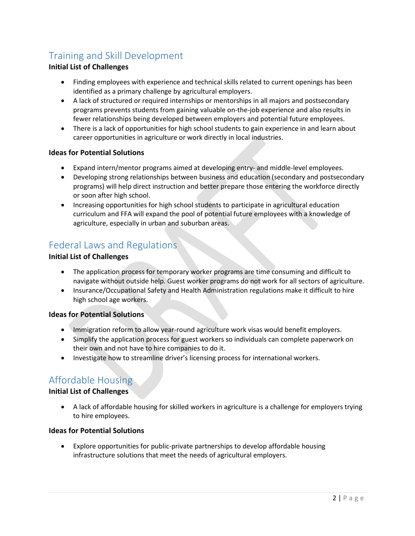# Training and Skill Development

#### **Initial List of Challenges**

- Finding employees with experience and technical skills related to current openings has been identified as a primary challenge by agricultural employers.
- A lack of structured or required internships or mentorships in all majors and postsecondary programs prevents students from gaining valuable on-the-job experience and also results in fewer relationships being developed between employers and potential future employees.
- There is a lack of opportunities for high school students to gain experience in and learn about career opportunities in agriculture or work directly in local industries.

#### **Ideas for Potential Solutions**

- Expand intern/mentor programs aimed at developing entry- and middle-level employees.
- Developing strong relationships between business and education (secondary and postsecondary programs) will help direct instruction and better prepare those entering the workforce directly or soon after high school.
- Increasing opportunities for high school students to participate in agricultural education curriculum and FFA will expand the pool of potential future employees with a knowledge of agriculture, especially in urban and suburban areas.

## Federal Laws and Regulations

#### **Initial List of Challenges**

- The application process for temporary worker programs are time consuming and difficult to navigate without outside help. Guest worker programs do not work for all sectors of agriculture.
- Insurance/Occupational Safety and Health Administration regulations make it difficult to hire high school age workers.

#### **Ideas for Potential Solutions**

- Immigration reform to allow year-round agriculture work visas would benefit employers.
- Simplify the application process for guest workers so individuals can complete paperwork on their own and not have to hire companies to do it.
- Investigate how to streamline driver's licensing process for international workers.

## Affordable Housing

#### **Initial List of Challenges**

• A lack of affordable housing for skilled workers in agriculture is a challenge for employers trying to hire employees.

#### **Ideas for Potential Solutions**

• Explore opportunities for public-private partnerships to develop affordable housing infrastructure solutions that meet the needs of agricultural employers.